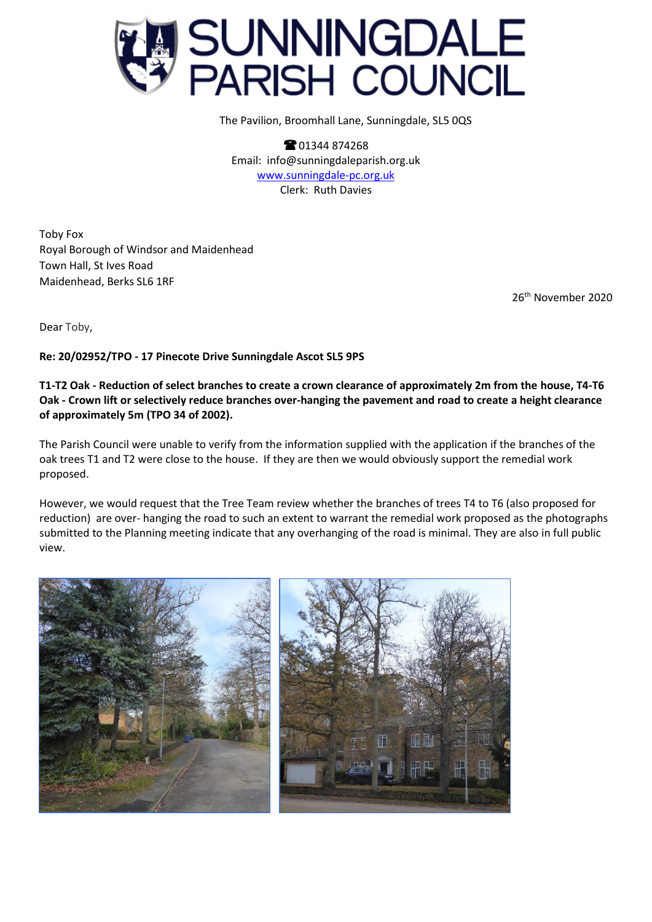

The Pavilion, Broomhall Lane, Sunningdale, SL5 0QS

**8** 01344 874268 Email: info@sunningdaleparish.org.uk [www.sunningdale-pc.org.uk](http://www.sunningdale-pc.org.uk/) Clerk: Ruth Davies

Toby Fox Royal Borough of Windsor and Maidenhead Town Hall, St Ives Road Maidenhead, Berks SL6 1RF

26 th November 2020

Dear Toby,

**Re: 20/02952/TPO - 17 Pinecote Drive Sunningdale Ascot SL5 9PS**

**T1-T2 Oak - Reduction of select branches to create a crown clearance of approximately 2m from the house, T4-T6 Oak - Crown lift or selectively reduce branches over-hanging the pavement and road to create a height clearance of approximately 5m (TPO 34 of 2002).**

The Parish Council were unable to verify from the information supplied with the application if the branches of the oak trees T1 and T2 were close to the house. If they are then we would obviously support the remedial work proposed.

However, we would request that the Tree Team review whether the branches of trees T4 to T6 (also proposed for reduction) are over- hanging the road to such an extent to warrant the remedial work proposed as the photographs submitted to the Planning meeting indicate that any overhanging of the road is minimal. They are also in full public view.